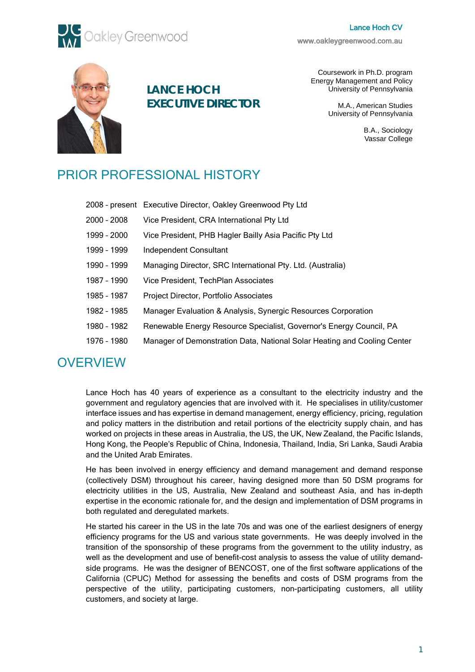# Lance Hoch CV



[www.oakleygreenwood.com.au](http://www.oakleygreenwood.com.au/) 



**LANCE HOCH EXECUTIVE DIRECTOR**

Coursework in Ph.D. program Energy Management and Policy University of Pennsylvania

> M.A., American Studies University of Pennsylvania

> > B.A., Sociology Vassar College

# PRIOR PROFESSIONAL HISTORY

|             | 2008 - present Executive Director, Oakley Greenwood Pty Ltd              |
|-------------|--------------------------------------------------------------------------|
| 2000 - 2008 | Vice President, CRA International Pty Ltd                                |
| 1999 - 2000 | Vice President, PHB Hagler Bailly Asia Pacific Pty Ltd                   |
| 1999 - 1999 | Independent Consultant                                                   |
| 1990 - 1999 | Managing Director, SRC International Pty. Ltd. (Australia)               |
| 1987 - 1990 | Vice President, TechPlan Associates                                      |
| 1985 - 1987 | Project Director, Portfolio Associates                                   |
| 1982 - 1985 | Manager Evaluation & Analysis, Synergic Resources Corporation            |
| 1980 - 1982 | Renewable Energy Resource Specialist, Governor's Energy Council, PA      |
| 1976 - 1980 | Manager of Demonstration Data, National Solar Heating and Cooling Center |
|             |                                                                          |

# **OVERVIEW**

Lance Hoch has 40 years of experience as a consultant to the electricity industry and the government and regulatory agencies that are involved with it. He specialises in utility/customer interface issues and has expertise in demand management, energy efficiency, pricing, regulation and policy matters in the distribution and retail portions of the electricity supply chain, and has worked on projects in these areas in Australia, the US, the UK, New Zealand, the Pacific Islands, Hong Kong, the People's Republic of China, Indonesia, Thailand, India, Sri Lanka, Saudi Arabia and the United Arab Emirates.

He has been involved in energy efficiency and demand management and demand response (collectively DSM) throughout his career, having designed more than 50 DSM programs for electricity utilities in the US, Australia, New Zealand and southeast Asia, and has in-depth expertise in the economic rationale for, and the design and implementation of DSM programs in both regulated and deregulated markets.

He started his career in the US in the late 70s and was one of the earliest designers of energy efficiency programs for the US and various state governments. He was deeply involved in the transition of the sponsorship of these programs from the government to the utility industry, as well as the development and use of benefit-cost analysis to assess the value of utility demandside programs. He was the designer of BENCOST, one of the first software applications of the California (CPUC) Method for assessing the benefits and costs of DSM programs from the perspective of the utility, participating customers, non-participating customers, all utility customers, and society at large.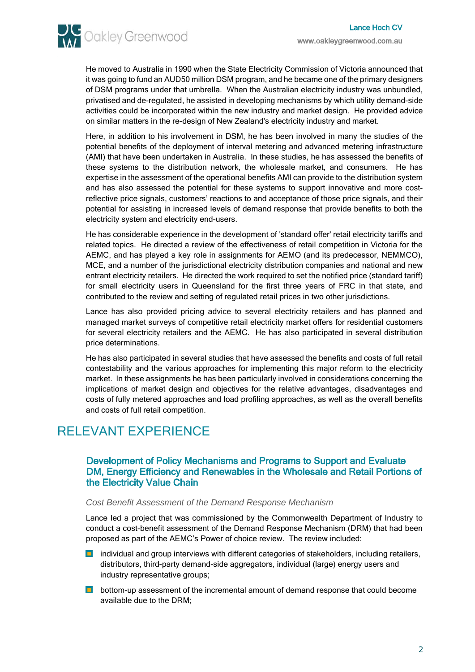**AV** Oakley Greenwood

He moved to Australia in 1990 when the State Electricity Commission of Victoria announced that it was going to fund an AUD50 million DSM program, and he became one of the primary designers of DSM programs under that umbrella. When the Australian electricity industry was unbundled, privatised and de-regulated, he assisted in developing mechanisms by which utility demand-side activities could be incorporated within the new industry and market design. He provided advice on similar matters in the re-design of New Zealand's electricity industry and market.

Here, in addition to his involvement in DSM, he has been involved in many the studies of the potential benefits of the deployment of interval metering and advanced metering infrastructure (AMI) that have been undertaken in Australia. In these studies, he has assessed the benefits of these systems to the distribution network, the wholesale market, and consumers. He has expertise in the assessment of the operational benefits AMI can provide to the distribution system and has also assessed the potential for these systems to support innovative and more costreflective price signals, customers' reactions to and acceptance of those price signals, and their potential for assisting in increased levels of demand response that provide benefits to both the electricity system and electricity end-users.

He has considerable experience in the development of 'standard offer' retail electricity tariffs and related topics. He directed a review of the effectiveness of retail competition in Victoria for the AEMC, and has played a key role in assignments for AEMO (and its predecessor, NEMMCO), MCE, and a number of the jurisdictional electricity distribution companies and national and new entrant electricity retailers. He directed the work required to set the notified price (standard tariff) for small electricity users in Queensland for the first three years of FRC in that state, and contributed to the review and setting of regulated retail prices in two other jurisdictions.

Lance has also provided pricing advice to several electricity retailers and has planned and managed market surveys of competitive retail electricity market offers for residential customers for several electricity retailers and the AEMC. He has also participated in several distribution price determinations.

He has also participated in several studies that have assessed the benefits and costs of full retail contestability and the various approaches for implementing this major reform to the electricity market. In these assignments he has been particularly involved in considerations concerning the implications of market design and objectives for the relative advantages, disadvantages and costs of fully metered approaches and load profiling approaches, as well as the overall benefits and costs of full retail competition.

# RELEVANT EXPERIENCE

# Development of Policy Mechanisms and Programs to Support and Evaluate DM, Energy Efficiency and Renewables in the Wholesale and Retail Portions of the Electricity Value Chain

# *Cost Benefit Assessment of the Demand Response Mechanism*

Lance led a project that was commissioned by the Commonwealth Department of Industry to conduct a cost-benefit assessment of the Demand Response Mechanism (DRM) that had been proposed as part of the AEMC's Power of choice review. The review included:

- **D** individual and group interviews with different categories of stakeholders, including retailers, distributors, third-party demand-side aggregators, individual (large) energy users and industry representative groups;
- **D** bottom-up assessment of the incremental amount of demand response that could become available due to the DRM;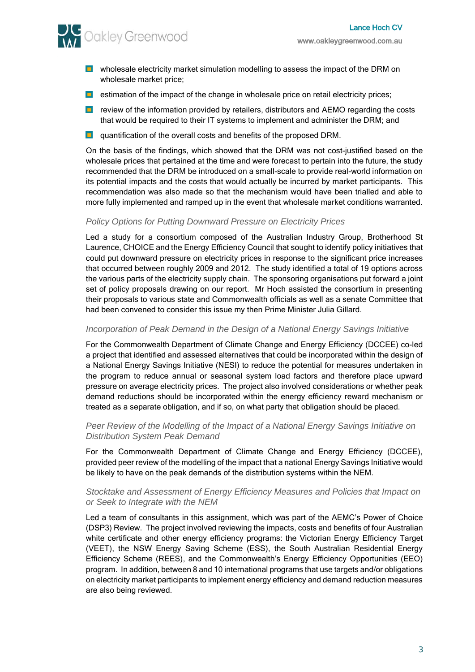**AV** Oakley Greenwood

- **D** wholesale electricity market simulation modelling to assess the impact of the DRM on wholesale market price;
- **E** estimation of the impact of the change in wholesale price on retail electricity prices;
- **D** review of the information provided by retailers, distributors and AEMO regarding the costs that would be required to their IT systems to implement and administer the DRM; and
- **Quantification of the overall costs and benefits of the proposed DRM.**

On the basis of the findings, which showed that the DRM was not cost-justified based on the wholesale prices that pertained at the time and were forecast to pertain into the future, the study recommended that the DRM be introduced on a small-scale to provide real-world information on its potential impacts and the costs that would actually be incurred by market participants. This recommendation was also made so that the mechanism would have been trialled and able to more fully implemented and ramped up in the event that wholesale market conditions warranted.

#### *Policy Options for Putting Downward Pressure on Electricity Prices*

Led a study for a consortium composed of the Australian Industry Group, Brotherhood St Laurence, CHOICE and the Energy Efficiency Council that sought to identify policy initiatives that could put downward pressure on electricity prices in response to the significant price increases that occurred between roughly 2009 and 2012. The study identified a total of 19 options across the various parts of the electricity supply chain. The sponsoring organisations put forward a joint set of policy proposals drawing on our report. Mr Hoch assisted the consortium in presenting their proposals to various state and Commonwealth officials as well as a senate Committee that had been convened to consider this issue my then Prime Minister Julia Gillard.

#### *Incorporation of Peak Demand in the Design of a National Energy Savings Initiative*

For the Commonwealth Department of Climate Change and Energy Efficiency (DCCEE) co-led a project that identified and assessed alternatives that could be incorporated within the design of a National Energy Savings Initiative (NESI) to reduce the potential for measures undertaken in the program to reduce annual or seasonal system load factors and therefore place upward pressure on average electricity prices. The project also involved considerations or whether peak demand reductions should be incorporated within the energy efficiency reward mechanism or treated as a separate obligation, and if so, on what party that obligation should be placed.

#### *Peer Review of the Modelling of the Impact of a National Energy Savings Initiative on Distribution System Peak Demand*

For the Commonwealth Department of Climate Change and Energy Efficiency (DCCEE), provided peer review of the modelling of the impact that a national Energy Savings Initiative would be likely to have on the peak demands of the distribution systems within the NEM.

#### *Stocktake and Assessment of Energy Efficiency Measures and Policies that Impact on or Seek to Integrate with the NEM*

Led a team of consultants in this assignment, which was part of the AEMC's Power of Choice (DSP3) Review. The project involved reviewing the impacts, costs and benefits of four Australian white certificate and other energy efficiency programs: the Victorian Energy Efficiency Target (VEET), the NSW Energy Saving Scheme (ESS), the South Australian Residential Energy Efficiency Scheme (REES), and the Commonwealth's Energy Efficiency Opportunities (EEO) program. In addition, between 8 and 10 international programs that use targets and/or obligations on electricity market participants to implement energy efficiency and demand reduction measures are also being reviewed.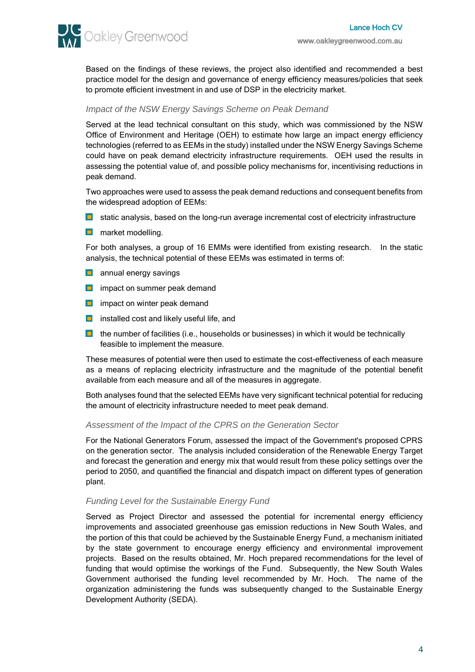Based on the findings of these reviews, the project also identified and recommended a best practice model for the design and governance of energy efficiency measures/policies that seek to promote efficient investment in and use of DSP in the electricity market.

# *Impact of the NSW Energy Savings Scheme on Peak Demand*

Served at the lead technical consultant on this study, which was commissioned by the NSW Office of Environment and Heritage (OEH) to estimate how large an impact energy efficiency technologies (referred to as EEMs in the study) installed under the NSW Energy Savings Scheme could have on peak demand electricity infrastructure requirements. OEH used the results in assessing the potential value of, and possible policy mechanisms for, incentivising reductions in peak demand.

Two approaches were used to assess the peak demand reductions and consequent benefits from the widespread adoption of EEMs:

- **D** static analysis, based on the long-run average incremental cost of electricity infrastructure
- **n** market modelling.

For both analyses, a group of 16 EMMs were identified from existing research. In the static analysis, the technical potential of these EEMs was estimated in terms of:

- **annual energy savings**
- **ight** impact on summer peak demand
- $\blacksquare$  impact on winter peak demand
- $\Box$  installed cost and likely useful life, and
- $\Box$  the number of facilities (i.e., households or businesses) in which it would be technically feasible to implement the measure.

These measures of potential were then used to estimate the cost-effectiveness of each measure as a means of replacing electricity infrastructure and the magnitude of the potential benefit available from each measure and all of the measures in aggregate.

Both analyses found that the selected EEMs have very significant technical potential for reducing the amount of electricity infrastructure needed to meet peak demand.

#### *Assessment of the Impact of the CPRS on the Generation Sector*

For the National Generators Forum, assessed the impact of the Government's proposed CPRS on the generation sector. The analysis included consideration of the Renewable Energy Target and forecast the generation and energy mix that would result from these policy settings over the period to 2050, and quantified the financial and dispatch impact on different types of generation plant.

# *Funding Level for the Sustainable Energy Fund*

Served as Project Director and assessed the potential for incremental energy efficiency improvements and associated greenhouse gas emission reductions in New South Wales, and the portion of this that could be achieved by the Sustainable Energy Fund, a mechanism initiated by the state government to encourage energy efficiency and environmental improvement projects. Based on the results obtained, Mr. Hoch prepared recommendations for the level of funding that would optimise the workings of the Fund. Subsequently, the New South Wales Government authorised the funding level recommended by Mr. Hoch. The name of the organization administering the funds was subsequently changed to the Sustainable Energy Development Authority (SEDA).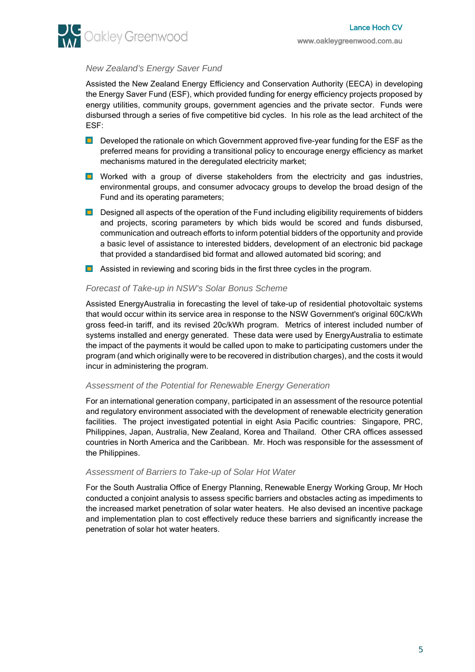

# *New Zealand's Energy Saver Fund*

Assisted the New Zealand Energy Efficiency and Conservation Authority (EECA) in developing the Energy Saver Fund (ESF), which provided funding for energy efficiency projects proposed by energy utilities, community groups, government agencies and the private sector. Funds were disbursed through a series of five competitive bid cycles. In his role as the lead architect of the ESF:

- **Developed the rationale on which Government approved five-year funding for the ESF as the** preferred means for providing a transitional policy to encourage energy efficiency as market mechanisms matured in the deregulated electricity market;
- **D** Worked with a group of diverse stakeholders from the electricity and gas industries, environmental groups, and consumer advocacy groups to develop the broad design of the Fund and its operating parameters;
- **Designed all aspects of the operation of the Fund including eligibility requirements of bidders** and projects, scoring parameters by which bids would be scored and funds disbursed, communication and outreach efforts to inform potential bidders of the opportunity and provide a basic level of assistance to interested bidders, development of an electronic bid package that provided a standardised bid format and allowed automated bid scoring; and
- **Assisted in reviewing and scoring bids in the first three cycles in the program.**

# *Forecast of Take-up in NSW's Solar Bonus Scheme*

Assisted EnergyAustralia in forecasting the level of take-up of residential photovoltaic systems that would occur within its service area in response to the NSW Government's original 60C/kWh gross feed-in tariff, and its revised 20c/kWh program. Metrics of interest included number of systems installed and energy generated. These data were used by EnergyAustralia to estimate the impact of the payments it would be called upon to make to participating customers under the program (and which originally were to be recovered in distribution charges), and the costs it would incur in administering the program.

#### *Assessment of the Potential for Renewable Energy Generation*

For an international generation company, participated in an assessment of the resource potential and regulatory environment associated with the development of renewable electricity generation facilities. The project investigated potential in eight Asia Pacific countries: Singapore, PRC, Philippines, Japan, Australia, New Zealand, Korea and Thailand. Other CRA offices assessed countries in North America and the Caribbean. Mr. Hoch was responsible for the assessment of the Philippines.

# *Assessment of Barriers to Take-up of Solar Hot Water*

For the South Australia Office of Energy Planning, Renewable Energy Working Group, Mr Hoch conducted a conjoint analysis to assess specific barriers and obstacles acting as impediments to the increased market penetration of solar water heaters. He also devised an incentive package and implementation plan to cost effectively reduce these barriers and significantly increase the penetration of solar hot water heaters.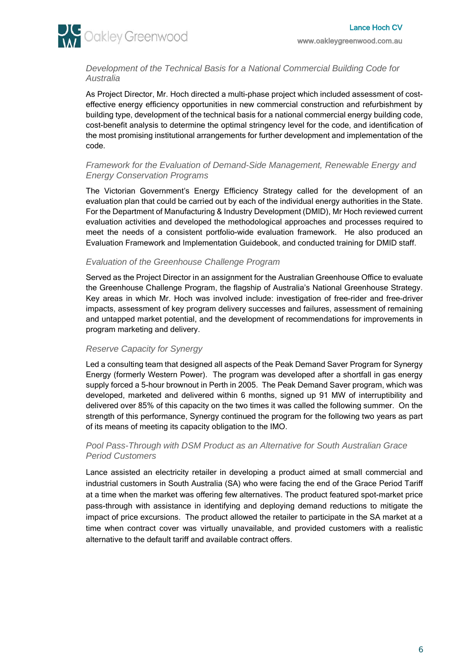

*Development of the Technical Basis for a National Commercial Building Code for Australia*

As Project Director, Mr. Hoch directed a multi-phase project which included assessment of costeffective energy efficiency opportunities in new commercial construction and refurbishment by building type, development of the technical basis for a national commercial energy building code, cost-benefit analysis to determine the optimal stringency level for the code, and identification of the most promising institutional arrangements for further development and implementation of the code.

# *Framework for the Evaluation of Demand-Side Management, Renewable Energy and Energy Conservation Programs*

The Victorian Government's Energy Efficiency Strategy called for the development of an evaluation plan that could be carried out by each of the individual energy authorities in the State. For the Department of Manufacturing & Industry Development (DMID), Mr Hoch reviewed current evaluation activities and developed the methodological approaches and processes required to meet the needs of a consistent portfolio-wide evaluation framework. He also produced an Evaluation Framework and Implementation Guidebook, and conducted training for DMID staff.

# *Evaluation of the Greenhouse Challenge Program*

Served as the Project Director in an assignment for the Australian Greenhouse Office to evaluate the Greenhouse Challenge Program, the flagship of Australia's National Greenhouse Strategy. Key areas in which Mr. Hoch was involved include: investigation of free-rider and free-driver impacts, assessment of key program delivery successes and failures, assessment of remaining and untapped market potential, and the development of recommendations for improvements in program marketing and delivery.

# *Reserve Capacity for Synergy*

Led a consulting team that designed all aspects of the Peak Demand Saver Program for Synergy Energy (formerly Western Power). The program was developed after a shortfall in gas energy supply forced a 5-hour brownout in Perth in 2005. The Peak Demand Saver program, which was developed, marketed and delivered within 6 months, signed up 91 MW of interruptibility and delivered over 85% of this capacity on the two times it was called the following summer. On the strength of this performance, Synergy continued the program for the following two years as part of its means of meeting its capacity obligation to the IMO.

# *Pool Pass-Through with DSM Product as an Alternative for South Australian Grace Period Customers*

Lance assisted an electricity retailer in developing a product aimed at small commercial and industrial customers in South Australia (SA) who were facing the end of the Grace Period Tariff at a time when the market was offering few alternatives. The product featured spot-market price pass-through with assistance in identifying and deploying demand reductions to mitigate the impact of price excursions. The product allowed the retailer to participate in the SA market at a time when contract cover was virtually unavailable, and provided customers with a realistic alternative to the default tariff and available contract offers.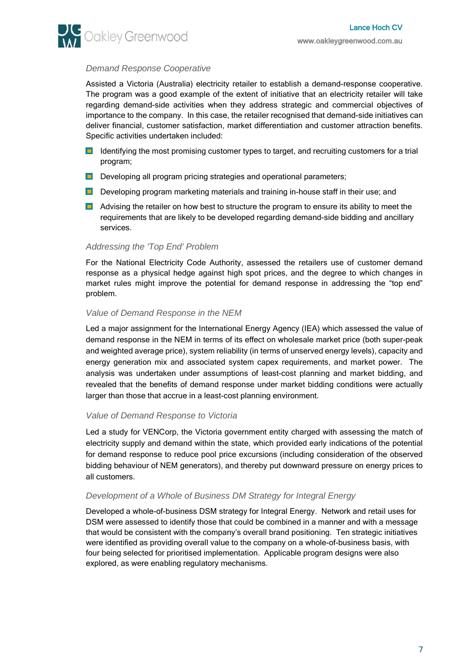

# *Demand Response Cooperative*

Assisted a Victoria (Australia) electricity retailer to establish a demand-response cooperative. The program was a good example of the extent of initiative that an electricity retailer will take regarding demand-side activities when they address strategic and commercial objectives of importance to the company. In this case, the retailer recognised that demand-side initiatives can deliver financial, customer satisfaction, market differentiation and customer attraction benefits. Specific activities undertaken included:

- **ID** Identifying the most promising customer types to target, and recruiting customers for a trial program;
- Developing all program pricing strategies and operational parameters;
- Developing program marketing materials and training in-house staff in their use; and
- **Advising the retailer on how best to structure the program to ensure its ability to meet the** requirements that are likely to be developed regarding demand-side bidding and ancillary services.

# *Addressing the 'Top End' Problem*

For the National Electricity Code Authority, assessed the retailers use of customer demand response as a physical hedge against high spot prices, and the degree to which changes in market rules might improve the potential for demand response in addressing the "top end" problem.

# *Value of Demand Response in the NEM*

Led a major assignment for the International Energy Agency (IEA) which assessed the value of demand response in the NEM in terms of its effect on wholesale market price (both super-peak and weighted average price), system reliability (in terms of unserved energy levels), capacity and energy generation mix and associated system capex requirements, and market power. The analysis was undertaken under assumptions of least-cost planning and market bidding, and revealed that the benefits of demand response under market bidding conditions were actually larger than those that accrue in a least-cost planning environment.

# *Value of Demand Response to Victoria*

Led a study for VENCorp, the Victoria government entity charged with assessing the match of electricity supply and demand within the state, which provided early indications of the potential for demand response to reduce pool price excursions (including consideration of the observed bidding behaviour of NEM generators), and thereby put downward pressure on energy prices to all customers.

# *Development of a Whole of Business DM Strategy for Integral Energy*

Developed a whole-of-business DSM strategy for Integral Energy. Network and retail uses for DSM were assessed to identify those that could be combined in a manner and with a message that would be consistent with the company's overall brand positioning. Ten strategic initiatives were identified as providing overall value to the company on a whole-of-business basis, with four being selected for prioritised implementation. Applicable program designs were also explored, as were enabling regulatory mechanisms.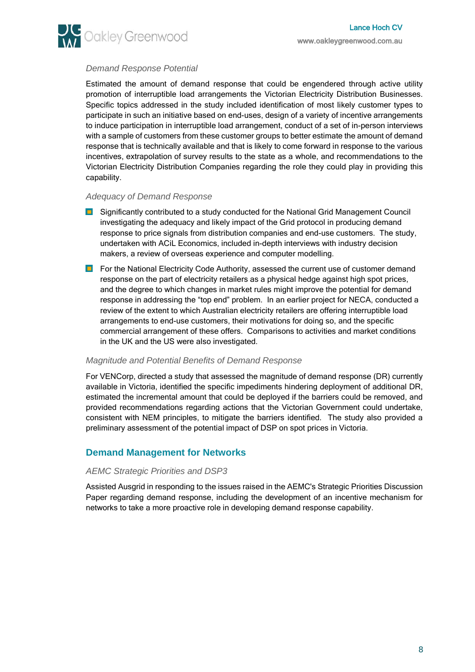

# *Demand Response Potential*

Estimated the amount of demand response that could be engendered through active utility promotion of interruptible load arrangements the Victorian Electricity Distribution Businesses. Specific topics addressed in the study included identification of most likely customer types to participate in such an initiative based on end-uses, design of a variety of incentive arrangements to induce participation in interruptible load arrangement, conduct of a set of in-person interviews with a sample of customers from these customer groups to better estimate the amount of demand response that is technically available and that is likely to come forward in response to the various incentives, extrapolation of survey results to the state as a whole, and recommendations to the Victorian Electricity Distribution Companies regarding the role they could play in providing this capability.

#### *Adequacy of Demand Response*

- **E** Significantly contributed to a study conducted for the National Grid Management Council investigating the adequacy and likely impact of the Grid protocol in producing demand response to price signals from distribution companies and end-use customers. The study, undertaken with ACiL Economics, included in-depth interviews with industry decision makers, a review of overseas experience and computer modelling.
- **For the National Electricity Code Authority, assessed the current use of customer demand** response on the part of electricity retailers as a physical hedge against high spot prices, and the degree to which changes in market rules might improve the potential for demand response in addressing the "top end" problem. In an earlier project for NECA, conducted a review of the extent to which Australian electricity retailers are offering interruptible load arrangements to end-use customers, their motivations for doing so, and the specific commercial arrangement of these offers. Comparisons to activities and market conditions in the UK and the US were also investigated.

# *Magnitude and Potential Benefits of Demand Response*

For VENCorp, directed a study that assessed the magnitude of demand response (DR) currently available in Victoria, identified the specific impediments hindering deployment of additional DR, estimated the incremental amount that could be deployed if the barriers could be removed, and provided recommendations regarding actions that the Victorian Government could undertake, consistent with NEM principles, to mitigate the barriers identified. The study also provided a preliminary assessment of the potential impact of DSP on spot prices in Victoria.

# **Demand Management for Networks**

# *AEMC Strategic Priorities and DSP3*

Assisted Ausgrid in responding to the issues raised in the AEMC's Strategic Priorities Discussion Paper regarding demand response, including the development of an incentive mechanism for networks to take a more proactive role in developing demand response capability.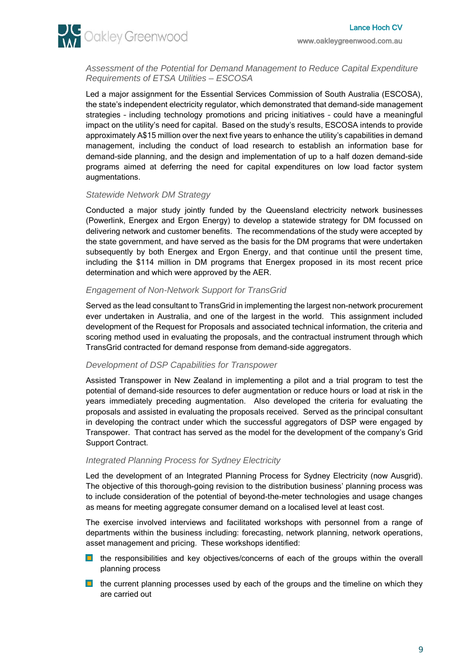

*Assessment of the Potential for Demand Management to Reduce Capital Expenditure Requirements of ETSA Utilities – ESCOSA*

Led a major assignment for the Essential Services Commission of South Australia (ESCOSA), the state's independent electricity regulator, which demonstrated that demand-side management strategies – including technology promotions and pricing initiatives – could have a meaningful impact on the utility's need for capital. Based on the study's results, ESCOSA intends to provide approximately A\$15 million over the next five years to enhance the utility's capabilities in demand management, including the conduct of load research to establish an information base for demand-side planning, and the design and implementation of up to a half dozen demand-side programs aimed at deferring the need for capital expenditures on low load factor system augmentations.

# *Statewide Network DM Strategy*

Conducted a major study jointly funded by the Queensland electricity network businesses (Powerlink, Energex and Ergon Energy) to develop a statewide strategy for DM focussed on delivering network and customer benefits. The recommendations of the study were accepted by the state government, and have served as the basis for the DM programs that were undertaken subsequently by both Energex and Ergon Energy, and that continue until the present time, including the \$114 million in DM programs that Energex proposed in its most recent price determination and which were approved by the AER.

# *Engagement of Non-Network Support for TransGrid*

Served as the lead consultant to TransGrid in implementing the largest non-network procurement ever undertaken in Australia, and one of the largest in the world. This assignment included development of the Request for Proposals and associated technical information, the criteria and scoring method used in evaluating the proposals, and the contractual instrument through which TransGrid contracted for demand response from demand-side aggregators.

# *Development of DSP Capabilities for Transpower*

Assisted Transpower in New Zealand in implementing a pilot and a trial program to test the potential of demand-side resources to defer augmentation or reduce hours or load at risk in the years immediately preceding augmentation. Also developed the criteria for evaluating the proposals and assisted in evaluating the proposals received. Served as the principal consultant in developing the contract under which the successful aggregators of DSP were engaged by Transpower. That contract has served as the model for the development of the company's Grid Support Contract.

# *Integrated Planning Process for Sydney Electricity*

Led the development of an Integrated Planning Process for Sydney Electricity (now Ausgrid). The objective of this thorough-going revision to the distribution business' planning process was to include consideration of the potential of beyond-the-meter technologies and usage changes as means for meeting aggregate consumer demand on a localised level at least cost.

The exercise involved interviews and facilitated workshops with personnel from a range of departments within the business including: forecasting, network planning, network operations, asset management and pricing. These workshops identified:

- **D** the responsibilities and key objectives/concerns of each of the groups within the overall planning process
- $\Box$  the current planning processes used by each of the groups and the timeline on which they are carried out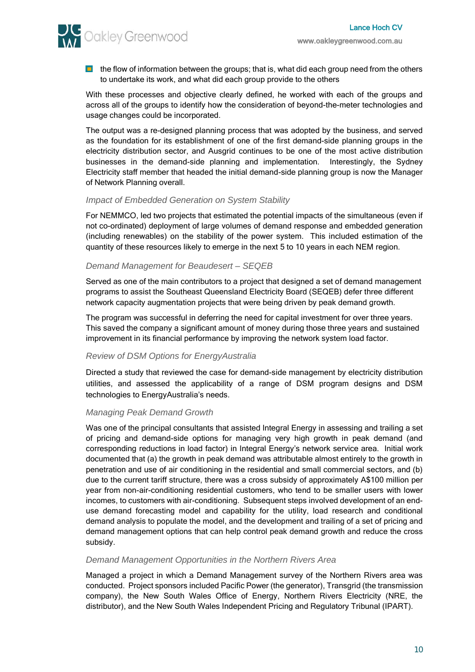**AV** Oakley Greenwood

 $\Box$  the flow of information between the groups; that is, what did each group need from the others to undertake its work, and what did each group provide to the others

With these processes and objective clearly defined, he worked with each of the groups and across all of the groups to identify how the consideration of beyond-the-meter technologies and usage changes could be incorporated.

The output was a re-designed planning process that was adopted by the business, and served as the foundation for its establishment of one of the first demand-side planning groups in the electricity distribution sector, and Ausgrid continues to be one of the most active distribution businesses in the demand-side planning and implementation. Interestingly, the Sydney Electricity staff member that headed the initial demand-side planning group is now the Manager of Network Planning overall.

#### *Impact of Embedded Generation on System Stability*

For NEMMCO, led two projects that estimated the potential impacts of the simultaneous (even if not co-ordinated) deployment of large volumes of demand response and embedded generation (including renewables) on the stability of the power system. This included estimation of the quantity of these resources likely to emerge in the next 5 to 10 years in each NEM region.

#### *Demand Management for Beaudesert – SEQEB*

Served as one of the main contributors to a project that designed a set of demand management programs to assist the Southeast Queensland Electricity Board (SEQEB) defer three different network capacity augmentation projects that were being driven by peak demand growth.

The program was successful in deferring the need for capital investment for over three years. This saved the company a significant amount of money during those three years and sustained improvement in its financial performance by improving the network system load factor.

# *Review of DSM Options for EnergyAustralia*

Directed a study that reviewed the case for demand-side management by electricity distribution utilities, and assessed the applicability of a range of DSM program designs and DSM technologies to EnergyAustralia's needs.

# *Managing Peak Demand Growth*

Was one of the principal consultants that assisted Integral Energy in assessing and trailing a set of pricing and demand-side options for managing very high growth in peak demand (and corresponding reductions in load factor) in Integral Energy's network service area. Initial work documented that (a) the growth in peak demand was attributable almost entirely to the growth in penetration and use of air conditioning in the residential and small commercial sectors, and (b) due to the current tariff structure, there was a cross subsidy of approximately A\$100 million per year from non-air-conditioning residential customers, who tend to be smaller users with lower incomes, to customers with air-conditioning. Subsequent steps involved development of an enduse demand forecasting model and capability for the utility, load research and conditional demand analysis to populate the model, and the development and trailing of a set of pricing and demand management options that can help control peak demand growth and reduce the cross subsidy.

#### *Demand Management Opportunities in the Northern Rivers Area*

Managed a project in which a Demand Management survey of the Northern Rivers area was conducted. Project sponsors included Pacific Power (the generator), Transgrid (the transmission company), the New South Wales Office of Energy, Northern Rivers Electricity (NRE, the distributor), and the New South Wales Independent Pricing and Regulatory Tribunal (IPART).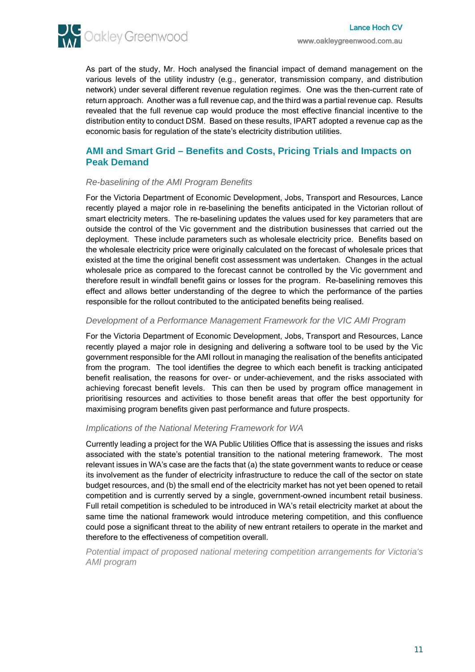

As part of the study, Mr. Hoch analysed the financial impact of demand management on the various levels of the utility industry (e.g., generator, transmission company, and distribution network) under several different revenue regulation regimes. One was the then-current rate of return approach. Another was a full revenue cap, and the third was a partial revenue cap. Results revealed that the full revenue cap would produce the most effective financial incentive to the distribution entity to conduct DSM. Based on these results, IPART adopted a revenue cap as the economic basis for regulation of the state's electricity distribution utilities.

# **AMI and Smart Grid – Benefits and Costs, Pricing Trials and Impacts on Peak Demand**

# *Re-baselining of the AMI Program Benefits*

For the Victoria Department of Economic Development, Jobs, Transport and Resources, Lance recently played a major role in re-baselining the benefits anticipated in the Victorian rollout of smart electricity meters. The re-baselining updates the values used for key parameters that are outside the control of the Vic government and the distribution businesses that carried out the deployment. These include parameters such as wholesale electricity price. Benefits based on the wholesale electricity price were originally calculated on the forecast of wholesale prices that existed at the time the original benefit cost assessment was undertaken. Changes in the actual wholesale price as compared to the forecast cannot be controlled by the Vic government and therefore result in windfall benefit gains or losses for the program. Re-baselining removes this effect and allows better understanding of the degree to which the performance of the parties responsible for the rollout contributed to the anticipated benefits being realised.

#### *Development of a Performance Management Framework for the VIC AMI Program*

For the Victoria Department of Economic Development, Jobs, Transport and Resources, Lance recently played a major role in designing and delivering a software tool to be used by the Vic government responsible for the AMI rollout in managing the realisation of the benefits anticipated from the program. The tool identifies the degree to which each benefit is tracking anticipated benefit realisation, the reasons for over- or under-achievement, and the risks associated with achieving forecast benefit levels. This can then be used by program office management in prioritising resources and activities to those benefit areas that offer the best opportunity for maximising program benefits given past performance and future prospects.

#### *Implications of the National Metering Framework for WA*

Currently leading a project for the WA Public Utilities Office that is assessing the issues and risks associated with the state's potential transition to the national metering framework. The most relevant issues in WA's case are the facts that (a) the state government wants to reduce or cease its involvement as the funder of electricity infrastructure to reduce the call of the sector on state budget resources, and (b) the small end of the electricity market has not yet been opened to retail competition and is currently served by a single, government-owned incumbent retail business. Full retail competition is scheduled to be introduced in WA's retail electricity market at about the same time the national framework would introduce metering competition, and this confluence could pose a significant threat to the ability of new entrant retailers to operate in the market and therefore to the effectiveness of competition overall.

*Potential impact of proposed national metering competition arrangements for Victoria's AMI program*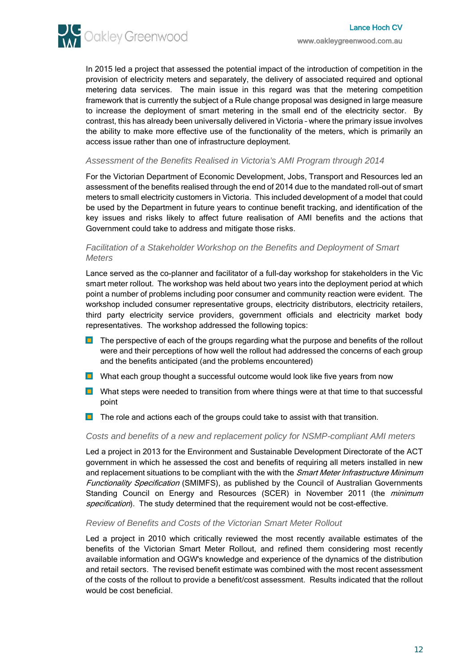

In 2015 led a project that assessed the potential impact of the introduction of competition in the provision of electricity meters and separately, the delivery of associated required and optional metering data services. The main issue in this regard was that the metering competition framework that is currently the subject of a Rule change proposal was designed in large measure to increase the deployment of smart metering in the small end of the electricity sector. By contrast, this has already been universally delivered in Victoria – where the primary issue involves the ability to make more effective use of the functionality of the meters, which is primarily an access issue rather than one of infrastructure deployment.

#### *Assessment of the Benefits Realised in Victoria's AMI Program through 2014*

For the Victorian Department of Economic Development, Jobs, Transport and Resources led an assessment of the benefits realised through the end of 2014 due to the mandated roll-out of smart meters to small electricity customers in Victoria. This included development of a model that could be used by the Department in future years to continue benefit tracking, and identification of the key issues and risks likely to affect future realisation of AMI benefits and the actions that Government could take to address and mitigate those risks.

### *Facilitation of a Stakeholder Workshop on the Benefits and Deployment of Smart Meters*

Lance served as the co-planner and facilitator of a full-day workshop for stakeholders in the Vic smart meter rollout. The workshop was held about two years into the deployment period at which point a number of problems including poor consumer and community reaction were evident. The workshop included consumer representative groups, electricity distributors, electricity retailers, third party electricity service providers, government officials and electricity market body representatives. The workshop addressed the following topics:

- $\blacksquare$ The perspective of each of the groups regarding what the purpose and benefits of the rollout were and their perceptions of how well the rollout had addressed the concerns of each group and the benefits anticipated (and the problems encountered)
- **D** What each group thought a successful outcome would look like five years from now
- **D** What steps were needed to transition from where things were at that time to that successful point
- **T** The role and actions each of the groups could take to assist with that transition.

#### *Costs and benefits of a new and replacement policy for NSMP-compliant AMI meters*

Led a project in 2013 for the Environment and Sustainable Development Directorate of the ACT government in which he assessed the cost and benefits of requiring all meters installed in new and replacement situations to be compliant with the with the Smart Meter Infrastructure Minimum Functionality Specification (SMIMFS), as published by the Council of Australian Governments Standing Council on Energy and Resources (SCER) in November 2011 (the minimum specification). The study determined that the requirement would not be cost-effective.

#### *Review of Benefits and Costs of the Victorian Smart Meter Rollout*

Led a project in 2010 which critically reviewed the most recently available estimates of the benefits of the Victorian Smart Meter Rollout, and refined them considering most recently available information and OGW's knowledge and experience of the dynamics of the distribution and retail sectors. The revised benefit estimate was combined with the most recent assessment of the costs of the rollout to provide a benefit/cost assessment. Results indicated that the rollout would be cost beneficial.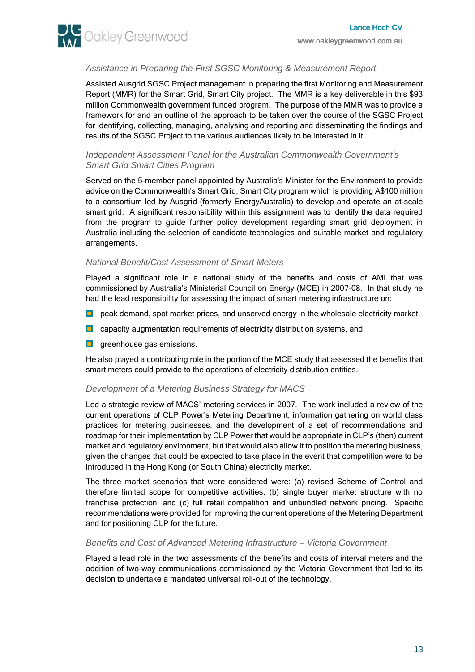

# *Assistance in Preparing the First SGSC Monitoring & Measurement Report*

Assisted Ausgrid SGSC Project management in preparing the first Monitoring and Measurement Report (MMR) for the Smart Grid, Smart City project. The MMR is a key deliverable in this \$93 million Commonwealth government funded program. The purpose of the MMR was to provide a framework for and an outline of the approach to be taken over the course of the SGSC Project for identifying, collecting, managing, analysing and reporting and disseminating the findings and results of the SGSC Project to the various audiences likely to be interested in it.

#### *Independent Assessment Panel for the Australian Commonwealth Government's Smart Grid Smart Cities Program*

Served on the 5-member panel appointed by Australia's Minister for the Environment to provide advice on the Commonwealth's Smart Grid, Smart City program which is providing A\$100 million to a consortium led by Ausgrid (formerly EnergyAustralia) to develop and operate an at-scale smart grid. A significant responsibility within this assignment was to identify the data required from the program to guide further policy development regarding smart grid deployment in Australia including the selection of candidate technologies and suitable market and regulatory arrangements.

#### *National Benefit/Cost Assessment of Smart Meters*

Played a significant role in a national study of the benefits and costs of AMI that was commissioned by Australia's Ministerial Council on Energy (MCE) in 2007-08. In that study he had the lead responsibility for assessing the impact of smart metering infrastructure on:

- **D** peak demand, spot market prices, and unserved energy in the wholesale electricity market,
- **D** capacity augmentation requirements of electricity distribution systems, and
- **q** greenhouse gas emissions.

He also played a contributing role in the portion of the MCE study that assessed the benefits that smart meters could provide to the operations of electricity distribution entities.

# *Development of a Metering Business Strategy for MACS*

Led a strategic review of MACS' metering services in 2007. The work included a review of the current operations of CLP Power's Metering Department, information gathering on world class practices for metering businesses, and the development of a set of recommendations and roadmap for their implementation by CLP Power that would be appropriate in CLP's (then) current market and regulatory environment, but that would also allow it to position the metering business, given the changes that could be expected to take place in the event that competition were to be introduced in the Hong Kong (or South China) electricity market.

The three market scenarios that were considered were: (a) revised Scheme of Control and therefore limited scope for competitive activities, (b) single buyer market structure with no franchise protection, and (c) full retail competition and unbundled network pricing. Specific recommendations were provided for improving the current operations of the Metering Department and for positioning CLP for the future.

#### *Benefits and Cost of Advanced Metering Infrastructure – Victoria Government*

Played a lead role in the two assessments of the benefits and costs of interval meters and the addition of two-way communications commissioned by the Victoria Government that led to its decision to undertake a mandated universal roll-out of the technology.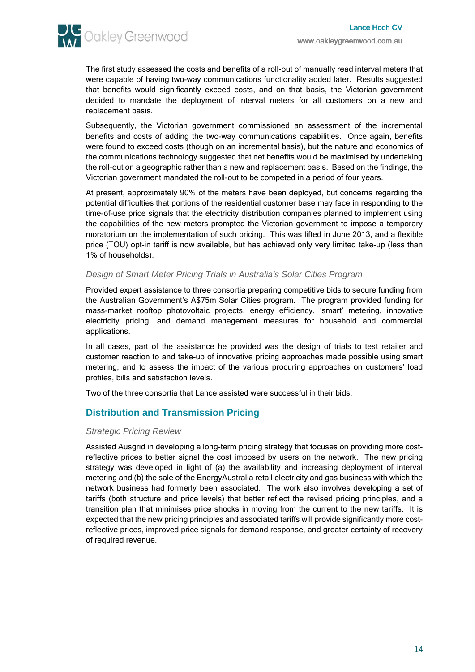**AM** Oakley Greenwood

The first study assessed the costs and benefits of a roll-out of manually read interval meters that were capable of having two-way communications functionality added later. Results suggested that benefits would significantly exceed costs, and on that basis, the Victorian government decided to mandate the deployment of interval meters for all customers on a new and replacement basis.

Subsequently, the Victorian government commissioned an assessment of the incremental benefits and costs of adding the two-way communications capabilities. Once again, benefits were found to exceed costs (though on an incremental basis), but the nature and economics of the communications technology suggested that net benefits would be maximised by undertaking the roll-out on a geographic rather than a new and replacement basis. Based on the findings, the Victorian government mandated the roll-out to be competed in a period of four years.

At present, approximately 90% of the meters have been deployed, but concerns regarding the potential difficulties that portions of the residential customer base may face in responding to the time-of-use price signals that the electricity distribution companies planned to implement using the capabilities of the new meters prompted the Victorian government to impose a temporary moratorium on the implementation of such pricing. This was lifted in June 2013, and a flexible price (TOU) opt-in tariff is now available, but has achieved only very limited take-up (less than 1% of households).

# *Design of Smart Meter Pricing Trials in Australia's Solar Cities Program*

Provided expert assistance to three consortia preparing competitive bids to secure funding from the Australian Government's A\$75m Solar Cities program. The program provided funding for mass-market rooftop photovoltaic projects, energy efficiency, 'smart' metering, innovative electricity pricing, and demand management measures for household and commercial applications.

In all cases, part of the assistance he provided was the design of trials to test retailer and customer reaction to and take-up of innovative pricing approaches made possible using smart metering, and to assess the impact of the various procuring approaches on customers' load profiles, bills and satisfaction levels.

Two of the three consortia that Lance assisted were successful in their bids.

# **Distribution and Transmission Pricing**

# *Strategic Pricing Review*

Assisted Ausgrid in developing a long-term pricing strategy that focuses on providing more costreflective prices to better signal the cost imposed by users on the network. The new pricing strategy was developed in light of (a) the availability and increasing deployment of interval metering and (b) the sale of the EnergyAustralia retail electricity and gas business with which the network business had formerly been associated. The work also involves developing a set of tariffs (both structure and price levels) that better reflect the revised pricing principles, and a transition plan that minimises price shocks in moving from the current to the new tariffs. It is expected that the new pricing principles and associated tariffs will provide significantly more costreflective prices, improved price signals for demand response, and greater certainty of recovery of required revenue.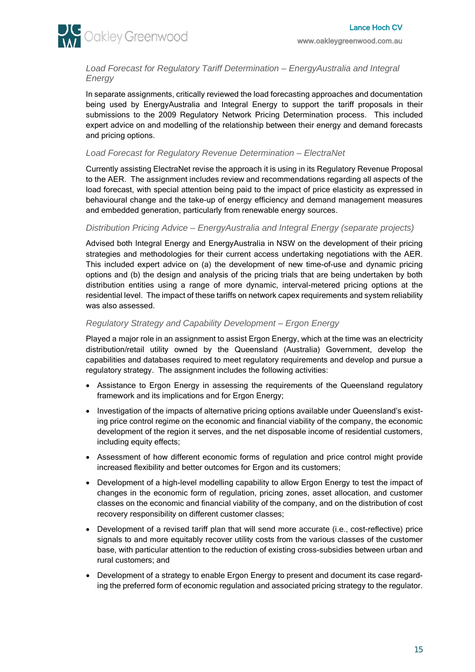

*Load Forecast for Regulatory Tariff Determination – EnergyAustralia and Integral Energy*

In separate assignments, critically reviewed the load forecasting approaches and documentation being used by EnergyAustralia and Integral Energy to support the tariff proposals in their submissions to the 2009 Regulatory Network Pricing Determination process. This included expert advice on and modelling of the relationship between their energy and demand forecasts and pricing options.

# *Load Forecast for Regulatory Revenue Determination – ElectraNet*

Currently assisting ElectraNet revise the approach it is using in its Regulatory Revenue Proposal to the AER. The assignment includes review and recommendations regarding all aspects of the load forecast, with special attention being paid to the impact of price elasticity as expressed in behavioural change and the take-up of energy efficiency and demand management measures and embedded generation, particularly from renewable energy sources.

#### *Distribution Pricing Advice – EnergyAustralia and Integral Energy (separate projects)*

Advised both Integral Energy and EnergyAustralia in NSW on the development of their pricing strategies and methodologies for their current access undertaking negotiations with the AER. This included expert advice on (a) the development of new time-of-use and dynamic pricing options and (b) the design and analysis of the pricing trials that are being undertaken by both distribution entities using a range of more dynamic, interval-metered pricing options at the residential level. The impact of these tariffs on network capex requirements and system reliability was also assessed.

# *Regulatory Strategy and Capability Development – Ergon Energy*

Played a major role in an assignment to assist Ergon Energy, which at the time was an electricity distribution/retail utility owned by the Queensland (Australia) Government, develop the capabilities and databases required to meet regulatory requirements and develop and pursue a regulatory strategy. The assignment includes the following activities:

- Assistance to Ergon Energy in assessing the requirements of the Queensland regulatory framework and its implications and for Ergon Energy;
- Investigation of the impacts of alternative pricing options available under Queensland's existing price control regime on the economic and financial viability of the company, the economic development of the region it serves, and the net disposable income of residential customers, including equity effects;
- Assessment of how different economic forms of regulation and price control might provide increased flexibility and better outcomes for Ergon and its customers;
- Development of a high-level modelling capability to allow Ergon Energy to test the impact of changes in the economic form of regulation, pricing zones, asset allocation, and customer classes on the economic and financial viability of the company, and on the distribution of cost recovery responsibility on different customer classes;
- Development of a revised tariff plan that will send more accurate (i.e., cost-reflective) price signals to and more equitably recover utility costs from the various classes of the customer base, with particular attention to the reduction of existing cross-subsidies between urban and rural customers; and
- Development of a strategy to enable Ergon Energy to present and document its case regarding the preferred form of economic regulation and associated pricing strategy to the regulator.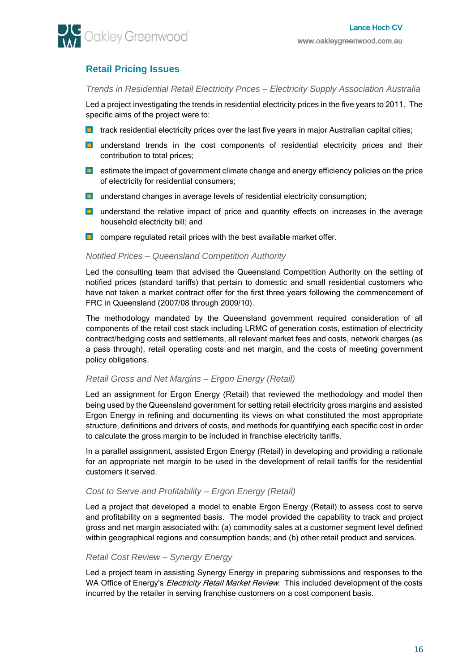# **Retail Pricing Issues**

# *Trends in Residential Retail Electricity Prices – Electricity Supply Association Australia*

Led a project investigating the trends in residential electricity prices in the five years to 2011. The specific aims of the project were to:

- $\Box$  track residential electricity prices over the last five years in major Australian capital cities;
- **L** understand trends in the cost components of residential electricity prices and their contribution to total prices;
- $\Box$  estimate the impact of government climate change and energy efficiency policies on the price of electricity for residential consumers;
- **u** understand changes in average levels of residential electricity consumption;
- **D** understand the relative impact of price and quantity effects on increases in the average household electricity bill; and
- **compare regulated retail prices with the best available market offer.**

#### *Notified Prices – Queensland Competition Authority*

Led the consulting team that advised the Queensland Competition Authority on the setting of notified prices (standard tariffs) that pertain to domestic and small residential customers who have not taken a market contract offer for the first three years following the commencement of FRC in Queensland (2007/08 through 2009/10).

The methodology mandated by the Queensland government required consideration of all components of the retail cost stack including LRMC of generation costs, estimation of electricity contract/hedging costs and settlements, all relevant market fees and costs, network charges (as a pass through), retail operating costs and net margin, and the costs of meeting government policy obligations.

# *Retail Gross and Net Margins – Ergon Energy (Retail)*

Led an assignment for Ergon Energy (Retail) that reviewed the methodology and model then being used by the Queensland government for setting retail electricity gross margins and assisted Ergon Energy in refining and documenting its views on what constituted the most appropriate structure, definitions and drivers of costs, and methods for quantifying each specific cost in order to calculate the gross margin to be included in franchise electricity tariffs.

In a parallel assignment, assisted Ergon Energy (Retail) in developing and providing a rationale for an appropriate net margin to be used in the development of retail tariffs for the residential customers it served.

# *Cost to Serve and Profitability – Ergon Energy (Retail)*

Led a project that developed a model to enable Ergon Energy (Retail) to assess cost to serve and profitability on a segmented basis. The model provided the capability to track and project gross and net margin associated with: (a) commodity sales at a customer segment level defined within geographical regions and consumption bands; and (b) other retail product and services.

# *Retail Cost Review – Synergy Energy*

Led a project team in assisting Synergy Energy in preparing submissions and responses to the WA Office of Energy's *Electricity Retail Market Review*. This included development of the costs incurred by the retailer in serving franchise customers on a cost component basis.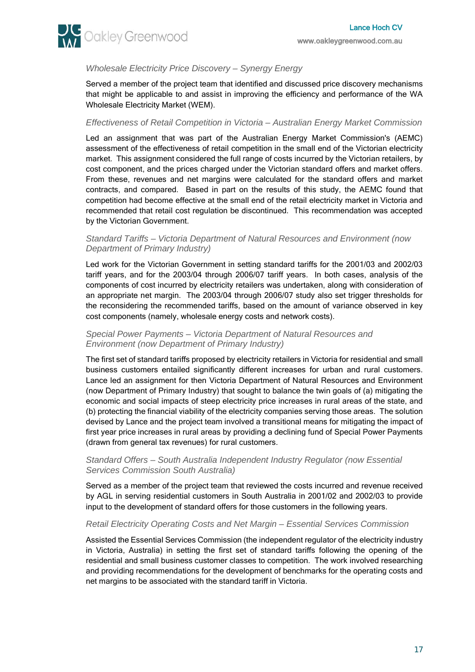

# *Wholesale Electricity Price Discovery – Synergy Energy*

Served a member of the project team that identified and discussed price discovery mechanisms that might be applicable to and assist in improving the efficiency and performance of the WA Wholesale Electricity Market (WEM).

# *Effectiveness of Retail Competition in Victoria – Australian Energy Market Commission*

Led an assignment that was part of the Australian Energy Market Commission's (AEMC) assessment of the effectiveness of retail competition in the small end of the Victorian electricity market. This assignment considered the full range of costs incurred by the Victorian retailers, by cost component, and the prices charged under the Victorian standard offers and market offers. From these, revenues and net margins were calculated for the standard offers and market contracts, and compared. Based in part on the results of this study, the AEMC found that competition had become effective at the small end of the retail electricity market in Victoria and recommended that retail cost regulation be discontinued. This recommendation was accepted by the Victorian Government.

### *Standard Tariffs – Victoria Department of Natural Resources and Environment (now Department of Primary Industry)*

Led work for the Victorian Government in setting standard tariffs for the 2001/03 and 2002/03 tariff years, and for the 2003/04 through 2006/07 tariff years. In both cases, analysis of the components of cost incurred by electricity retailers was undertaken, along with consideration of an appropriate net margin. The 2003/04 through 2006/07 study also set trigger thresholds for the reconsidering the recommended tariffs, based on the amount of variance observed in key cost components (namely, wholesale energy costs and network costs).

# *Special Power Payments – Victoria Department of Natural Resources and Environment (now Department of Primary Industry)*

The first set of standard tariffs proposed by electricity retailers in Victoria for residential and small business customers entailed significantly different increases for urban and rural customers. Lance led an assignment for then Victoria Department of Natural Resources and Environment (now Department of Primary Industry) that sought to balance the twin goals of (a) mitigating the economic and social impacts of steep electricity price increases in rural areas of the state, and (b) protecting the financial viability of the electricity companies serving those areas. The solution devised by Lance and the project team involved a transitional means for mitigating the impact of first year price increases in rural areas by providing a declining fund of Special Power Payments (drawn from general tax revenues) for rural customers.

# *Standard Offers – South Australia Independent Industry Regulator (now Essential Services Commission South Australia)*

Served as a member of the project team that reviewed the costs incurred and revenue received by AGL in serving residential customers in South Australia in 2001/02 and 2002/03 to provide input to the development of standard offers for those customers in the following years.

# *Retail Electricity Operating Costs and Net Margin – Essential Services Commission*

Assisted the Essential Services Commission (the independent regulator of the electricity industry in Victoria, Australia) in setting the first set of standard tariffs following the opening of the residential and small business customer classes to competition. The work involved researching and providing recommendations for the development of benchmarks for the operating costs and net margins to be associated with the standard tariff in Victoria.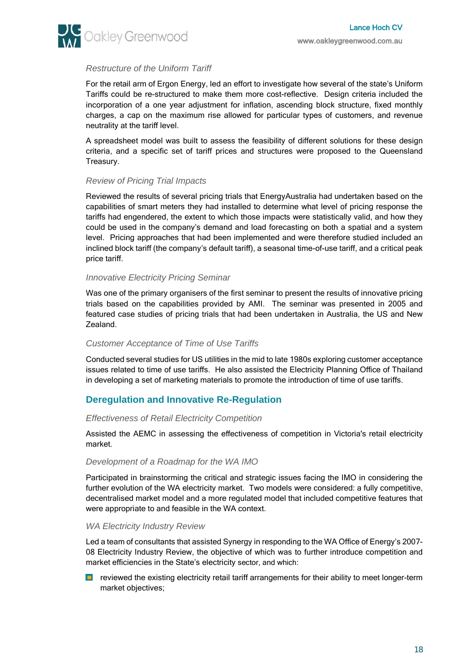

# *Restructure of the Uniform Tariff*

For the retail arm of Ergon Energy, led an effort to investigate how several of the state's Uniform Tariffs could be re-structured to make them more cost-reflective. Design criteria included the incorporation of a one year adjustment for inflation, ascending block structure, fixed monthly charges, a cap on the maximum rise allowed for particular types of customers, and revenue neutrality at the tariff level.

A spreadsheet model was built to assess the feasibility of different solutions for these design criteria, and a specific set of tariff prices and structures were proposed to the Queensland Treasury.

#### *Review of Pricing Trial Impacts*

Reviewed the results of several pricing trials that EnergyAustralia had undertaken based on the capabilities of smart meters they had installed to determine what level of pricing response the tariffs had engendered, the extent to which those impacts were statistically valid, and how they could be used in the company's demand and load forecasting on both a spatial and a system level. Pricing approaches that had been implemented and were therefore studied included an inclined block tariff (the company's default tariff), a seasonal time-of-use tariff, and a critical peak price tariff.

#### *Innovative Electricity Pricing Seminar*

Was one of the primary organisers of the first seminar to present the results of innovative pricing trials based on the capabilities provided by AMI. The seminar was presented in 2005 and featured case studies of pricing trials that had been undertaken in Australia, the US and New Zealand.

#### *Customer Acceptance of Time of Use Tariffs*

Conducted several studies for US utilities in the mid to late 1980s exploring customer acceptance issues related to time of use tariffs. He also assisted the Electricity Planning Office of Thailand in developing a set of marketing materials to promote the introduction of time of use tariffs.

# **Deregulation and Innovative Re-Regulation**

#### *Effectiveness of Retail Electricity Competition*

Assisted the AEMC in assessing the effectiveness of competition in Victoria's retail electricity market.

#### *Development of a Roadmap for the WA IMO*

Participated in brainstorming the critical and strategic issues facing the IMO in considering the further evolution of the WA electricity market. Two models were considered: a fully competitive, decentralised market model and a more regulated model that included competitive features that were appropriate to and feasible in the WA context.

#### *WA Electricity Industry Review*

Led a team of consultants that assisted Synergy in responding to the WA Office of Energy's 2007- 08 Electricity Industry Review, the objective of which was to further introduce competition and market efficiencies in the State's electricity sector, and which:

**D** reviewed the existing electricity retail tariff arrangements for their ability to meet longer-term market objectives;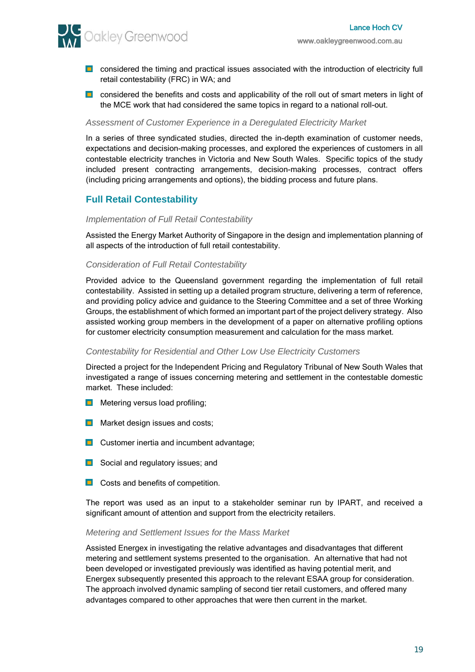

- **D** considered the timing and practical issues associated with the introduction of electricity full retail contestability (FRC) in WA; and
- **D** considered the benefits and costs and applicability of the roll out of smart meters in light of the MCE work that had considered the same topics in regard to a national roll-out.

#### *Assessment of Customer Experience in a Deregulated Electricity Market*

In a series of three syndicated studies, directed the in-depth examination of customer needs, expectations and decision-making processes, and explored the experiences of customers in all contestable electricity tranches in Victoria and New South Wales. Specific topics of the study included present contracting arrangements, decision-making processes, contract offers (including pricing arrangements and options), the bidding process and future plans.

# **Full Retail Contestability**

#### *Implementation of Full Retail Contestability*

Assisted the Energy Market Authority of Singapore in the design and implementation planning of all aspects of the introduction of full retail contestability.

# *Consideration of Full Retail Contestability*

Provided advice to the Queensland government regarding the implementation of full retail contestability. Assisted in setting up a detailed program structure, delivering a term of reference, and providing policy advice and guidance to the Steering Committee and a set of three Working Groups, the establishment of which formed an important part of the project delivery strategy. Also assisted working group members in the development of a paper on alternative profiling options for customer electricity consumption measurement and calculation for the mass market.

#### *Contestability for Residential and Other Low Use Electricity Customers*

Directed a project for the Independent Pricing and Regulatory Tribunal of New South Wales that investigated a range of issues concerning metering and settlement in the contestable domestic market. These included:

- **Metering versus load profiling;**
- **Market design issues and costs;**
- $\Box$  Customer inertia and incumbent advantage;
- **B** Social and regulatory issues; and
- **D** Costs and benefits of competition.

The report was used as an input to a stakeholder seminar run by IPART, and received a significant amount of attention and support from the electricity retailers.

#### *Metering and Settlement Issues for the Mass Market*

Assisted Energex in investigating the relative advantages and disadvantages that different metering and settlement systems presented to the organisation. An alternative that had not been developed or investigated previously was identified as having potential merit, and Energex subsequently presented this approach to the relevant ESAA group for consideration. The approach involved dynamic sampling of second tier retail customers, and offered many advantages compared to other approaches that were then current in the market.